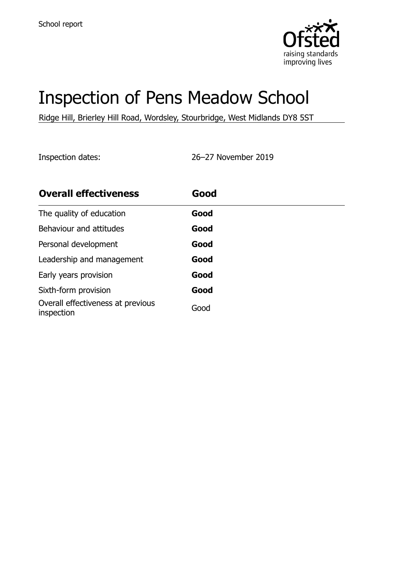

# Inspection of Pens Meadow School

Ridge Hill, Brierley Hill Road, Wordsley, Stourbridge, West Midlands DY8 5ST

Inspection dates: 26–27 November 2019

| <b>Overall effectiveness</b>                    | Good |  |
|-------------------------------------------------|------|--|
| The quality of education                        | Good |  |
| Behaviour and attitudes                         | Good |  |
| Personal development                            | Good |  |
| Leadership and management                       | Good |  |
| Early years provision                           | Good |  |
| Sixth-form provision                            | Good |  |
| Overall effectiveness at previous<br>inspection | Good |  |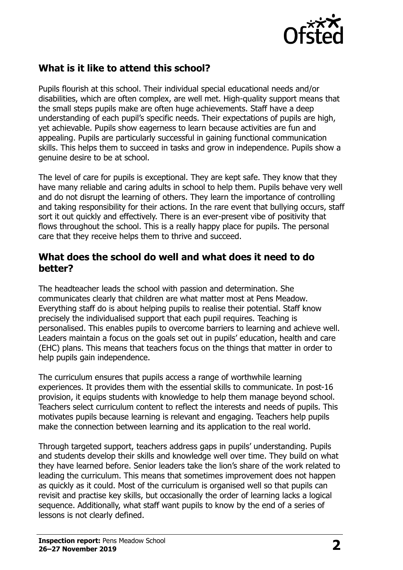

## **What is it like to attend this school?**

Pupils flourish at this school. Their individual special educational needs and/or disabilities, which are often complex, are well met. High-quality support means that the small steps pupils make are often huge achievements. Staff have a deep understanding of each pupil's specific needs. Their expectations of pupils are high, yet achievable. Pupils show eagerness to learn because activities are fun and appealing. Pupils are particularly successful in gaining functional communication skills. This helps them to succeed in tasks and grow in independence. Pupils show a genuine desire to be at school.

The level of care for pupils is exceptional. They are kept safe. They know that they have many reliable and caring adults in school to help them. Pupils behave very well and do not disrupt the learning of others. They learn the importance of controlling and taking responsibility for their actions. In the rare event that bullying occurs, staff sort it out quickly and effectively. There is an ever-present vibe of positivity that flows throughout the school. This is a really happy place for pupils. The personal care that they receive helps them to thrive and succeed.

#### **What does the school do well and what does it need to do better?**

The headteacher leads the school with passion and determination. She communicates clearly that children are what matter most at Pens Meadow. Everything staff do is about helping pupils to realise their potential. Staff know precisely the individualised support that each pupil requires. Teaching is personalised. This enables pupils to overcome barriers to learning and achieve well. Leaders maintain a focus on the goals set out in pupils' education, health and care (EHC) plans. This means that teachers focus on the things that matter in order to help pupils gain independence.

The curriculum ensures that pupils access a range of worthwhile learning experiences. It provides them with the essential skills to communicate. In post-16 provision, it equips students with knowledge to help them manage beyond school. Teachers select curriculum content to reflect the interests and needs of pupils. This motivates pupils because learning is relevant and engaging. Teachers help pupils make the connection between learning and its application to the real world.

Through targeted support, teachers address gaps in pupils' understanding. Pupils and students develop their skills and knowledge well over time. They build on what they have learned before. Senior leaders take the lion's share of the work related to leading the curriculum. This means that sometimes improvement does not happen as quickly as it could. Most of the curriculum is organised well so that pupils can revisit and practise key skills, but occasionally the order of learning lacks a logical sequence. Additionally, what staff want pupils to know by the end of a series of lessons is not clearly defined.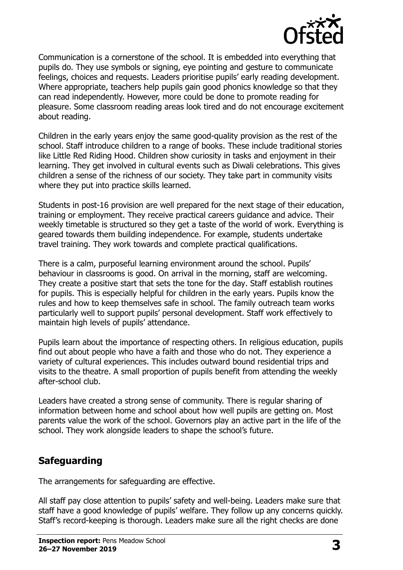

Communication is a cornerstone of the school. It is embedded into everything that pupils do. They use symbols or signing, eye pointing and gesture to communicate feelings, choices and requests. Leaders prioritise pupils' early reading development. Where appropriate, teachers help pupils gain good phonics knowledge so that they can read independently. However, more could be done to promote reading for pleasure. Some classroom reading areas look tired and do not encourage excitement about reading.

Children in the early years enjoy the same good-quality provision as the rest of the school. Staff introduce children to a range of books. These include traditional stories like Little Red Riding Hood. Children show curiosity in tasks and enjoyment in their learning. They get involved in cultural events such as Diwali celebrations. This gives children a sense of the richness of our society. They take part in community visits where they put into practice skills learned.

Students in post-16 provision are well prepared for the next stage of their education, training or employment. They receive practical careers guidance and advice. Their weekly timetable is structured so they get a taste of the world of work. Everything is geared towards them building independence. For example, students undertake travel training. They work towards and complete practical qualifications.

There is a calm, purposeful learning environment around the school. Pupils' behaviour in classrooms is good. On arrival in the morning, staff are welcoming. They create a positive start that sets the tone for the day. Staff establish routines for pupils. This is especially helpful for children in the early years. Pupils know the rules and how to keep themselves safe in school. The family outreach team works particularly well to support pupils' personal development. Staff work effectively to maintain high levels of pupils' attendance.

Pupils learn about the importance of respecting others. In religious education, pupils find out about people who have a faith and those who do not. They experience a variety of cultural experiences. This includes outward bound residential trips and visits to the theatre. A small proportion of pupils benefit from attending the weekly after-school club.

Leaders have created a strong sense of community. There is regular sharing of information between home and school about how well pupils are getting on. Most parents value the work of the school. Governors play an active part in the life of the school. They work alongside leaders to shape the school's future.

### **Safeguarding**

The arrangements for safeguarding are effective.

All staff pay close attention to pupils' safety and well-being. Leaders make sure that staff have a good knowledge of pupils' welfare. They follow up any concerns quickly. Staff's record-keeping is thorough. Leaders make sure all the right checks are done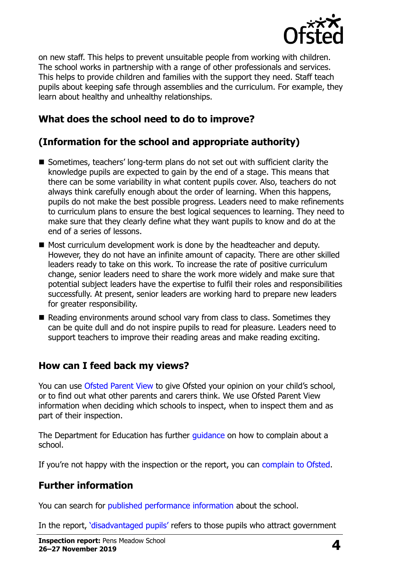

on new staff. This helps to prevent unsuitable people from working with children. The school works in partnership with a range of other professionals and services. This helps to provide children and families with the support they need. Staff teach pupils about keeping safe through assemblies and the curriculum. For example, they learn about healthy and unhealthy relationships.

## **What does the school need to do to improve?**

# **(Information for the school and appropriate authority)**

- Sometimes, teachers' long-term plans do not set out with sufficient clarity the knowledge pupils are expected to gain by the end of a stage. This means that there can be some variability in what content pupils cover. Also, teachers do not always think carefully enough about the order of learning. When this happens, pupils do not make the best possible progress. Leaders need to make refinements to curriculum plans to ensure the best logical sequences to learning. They need to make sure that they clearly define what they want pupils to know and do at the end of a series of lessons.
- Most curriculum development work is done by the headteacher and deputy. However, they do not have an infinite amount of capacity. There are other skilled leaders ready to take on this work. To increase the rate of positive curriculum change, senior leaders need to share the work more widely and make sure that potential subject leaders have the expertise to fulfil their roles and responsibilities successfully. At present, senior leaders are working hard to prepare new leaders for greater responsibility.
- Reading environments around school vary from class to class. Sometimes they can be quite dull and do not inspire pupils to read for pleasure. Leaders need to support teachers to improve their reading areas and make reading exciting.

# **How can I feed back my views?**

You can use [Ofsted Parent View](http://parentview.ofsted.gov.uk/) to give Ofsted your opinion on your child's school, or to find out what other parents and carers think. We use Ofsted Parent View information when deciding which schools to inspect, when to inspect them and as part of their inspection.

The Department for Education has further quidance on how to complain about a school.

If you're not happy with the inspection or the report, you can [complain to Ofsted.](http://www.gov.uk/complain-ofsted-report)

# **Further information**

You can search for [published performance information](http://www.compare-school-performance.service.gov.uk/) about the school.

In the report, '[disadvantaged pupils](http://www.gov.uk/guidance/pupil-premium-information-for-schools-and-alternative-provision-settings)' refers to those pupils who attract government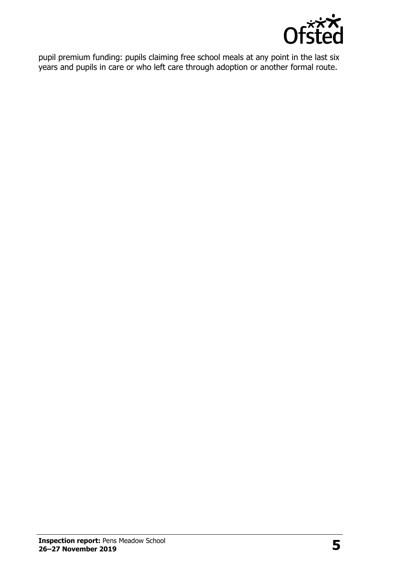

pupil premium funding: pupils claiming free school meals at any point in the last six years and pupils in care or who left care through adoption or another formal route.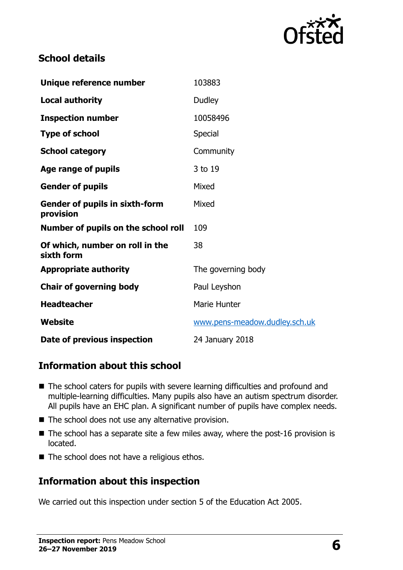

## **School details**

| Unique reference number                            | 103883                        |
|----------------------------------------------------|-------------------------------|
| <b>Local authority</b>                             | Dudley                        |
| <b>Inspection number</b>                           | 10058496                      |
| <b>Type of school</b>                              | <b>Special</b>                |
| <b>School category</b>                             | Community                     |
| Age range of pupils                                | 3 to 19                       |
| <b>Gender of pupils</b>                            | Mixed                         |
| <b>Gender of pupils in sixth-form</b><br>provision | Mixed                         |
| Number of pupils on the school roll                | 109                           |
| Of which, number on roll in the<br>sixth form      | 38                            |
| <b>Appropriate authority</b>                       | The governing body            |
| <b>Chair of governing body</b>                     | Paul Leyshon                  |
| <b>Headteacher</b>                                 | Marie Hunter                  |
| Website                                            | www.pens-meadow.dudley.sch.uk |
| Date of previous inspection                        | 24 January 2018               |

### **Information about this school**

- The school caters for pupils with severe learning difficulties and profound and multiple-learning difficulties. Many pupils also have an autism spectrum disorder. All pupils have an EHC plan. A significant number of pupils have complex needs.
- The school does not use any alternative provision.
- $\blacksquare$  The school has a separate site a few miles away, where the post-16 provision is located.
- The school does not have a religious ethos.

### **Information about this inspection**

We carried out this inspection under section 5 of the Education Act 2005.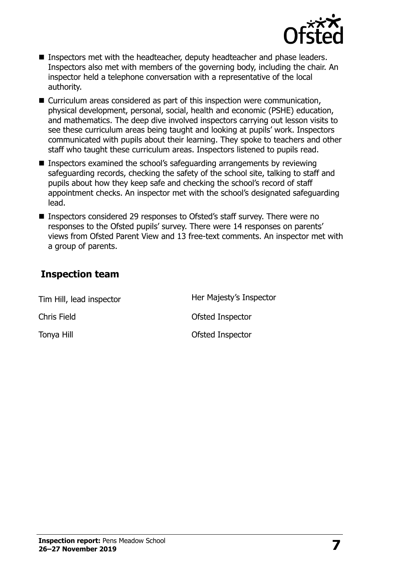

- Inspectors met with the headteacher, deputy headteacher and phase leaders. Inspectors also met with members of the governing body, including the chair. An inspector held a telephone conversation with a representative of the local authority.
- Curriculum areas considered as part of this inspection were communication, physical development, personal, social, health and economic (PSHE) education, and mathematics. The deep dive involved inspectors carrying out lesson visits to see these curriculum areas being taught and looking at pupils' work. Inspectors communicated with pupils about their learning. They spoke to teachers and other staff who taught these curriculum areas. Inspectors listened to pupils read.
- Inspectors examined the school's safeguarding arrangements by reviewing safeguarding records, checking the safety of the school site, talking to staff and pupils about how they keep safe and checking the school's record of staff appointment checks. An inspector met with the school's designated safeguarding lead.
- Inspectors considered 29 responses to Ofsted's staff survey. There were no responses to the Ofsted pupils' survey. There were 14 responses on parents' views from Ofsted Parent View and 13 free-text comments. An inspector met with a group of parents.

### **Inspection team**

| Tim Hill, lead inspector | Her Majesty's Inspector |
|--------------------------|-------------------------|
| Chris Field              | Ofsted Inspector        |
| Tonya Hill               | Ofsted Inspector        |